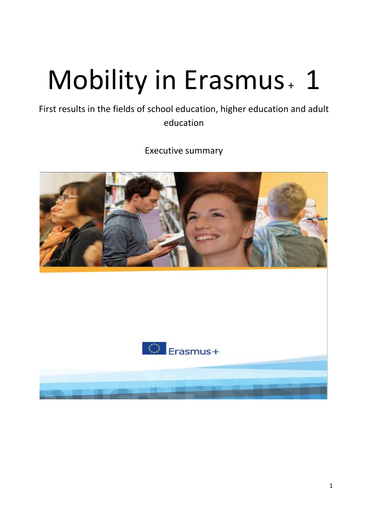# Mobility in Erasmus + 1

First results in the fields of school education, higher education and adult education

Executive summary



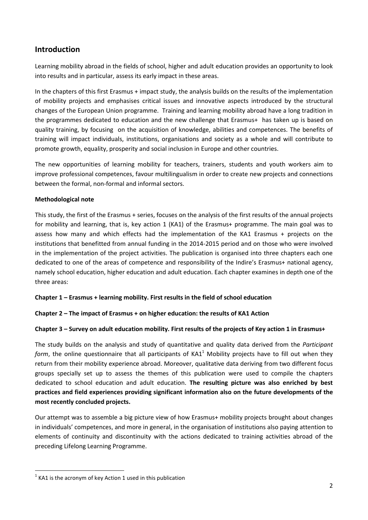# **Introduction**

Learning mobility abroad in the fields of school, higher and adult education provides an opportunity to look into results and in particular, assess its early impact in these areas.

In the chapters of this first Erasmus + impact study, the analysis builds on the results of the implementation of mobility projects and emphasises critical issues and innovative aspects introduced by the structural changes of the European Union programme. Training and learning mobility abroad have a long tradition in the programmes dedicated to education and the new challenge that Erasmus+ has taken up is based on quality training, by focusing on the acquisition of knowledge, abilities and competences. The benefits of training will impact individuals, institutions, organisations and society as a whole and will contribute to promote growth, equality, prosperity and social inclusion in Europe and other countries.

The new opportunities of learning mobility for teachers, trainers, students and youth workers aim to improve professional competences, favour multilingualism in order to create new projects and connections between the formal, non-formal and informal sectors.

# **Methodological note**

This study, the first of the Erasmus + series, focuses on the analysis of the first results of the annual projects for mobility and learning, that is, key action 1 (KA1) of the Erasmus+ programme. The main goal was to assess how many and which effects had the implementation of the KA1 Erasmus + projects on the institutions that benefitted from annual funding in the 2014-2015 period and on those who were involved in the implementation of the project activities. The publication is organised into three chapters each one dedicated to one of the areas of competence and responsibility of the Indire's Erasmus+ national agency, namely school education, higher education and adult education. Each chapter examines in depth one of the three areas:

# **Chapter 1 – Erasmus + learning mobility. First results in the field of school education**

# **Chapter 2 – The impact of Erasmus + on higher education: the results of KA1 Action**

# **Chapter 3 – Survey on adult education mobility. First results of the projects of Key action 1 in Erasmus+**

The study builds on the analysis and study of quantitative and quality data derived from the *Participant form*, the online questionnaire that all participants of  $KAI<sup>1</sup>$  Mobility projects have to fill out when they return from their mobility experience abroad. Moreover, qualitative data deriving from two different focus groups specially set up to assess the themes of this publication were used to compile the chapters dedicated to school education and adult education. **The resulting picture was also enriched by best practices and field experiences providing significant information also on the future developments of the most recently concluded projects.** 

Our attempt was to assemble a big picture view of how Erasmus+ mobility projects brought about changes in individuals' competences, and more in general, in the organisation of institutions also paying attention to elements of continuity and discontinuity with the actions dedicated to training activities abroad of the preceding Lifelong Learning Programme.

**<sup>.</sup>**  $1$  KA1 is the acronym of key Action 1 used in this publication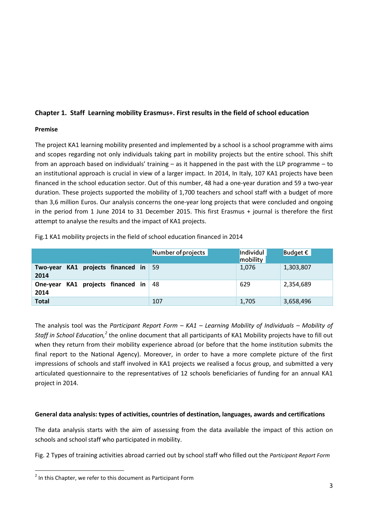# **Chapter 1. Staff Learning mobility Erasmus+. First results in the field of school education**

# **Premise**

The project KA1 learning mobility presented and implemented by a school is a school programme with aims and scopes regarding not only individuals taking part in mobility projects but the entire school. This shift from an approach based on individuals' training – as it happened in the past with the LLP programme – to an institutional approach is crucial in view of a larger impact. In 2014, In Italy, 107 KA1 projects have been financed in the school education sector. Out of this number, 48 had a one-year duration and 59 a two-year duration. These projects supported the mobility of 1,700 teachers and school staff with a budget of more than 3,6 million Euros. Our analysis concerns the one-year long projects that were concluded and ongoing in the period from 1 June 2014 to 31 December 2015. This first Erasmus + journal is therefore the first attempt to analyse the results and the impact of KA1 projects.

|                                              | Number of projects | Individul<br>mobility | Budget $\epsilon$ |
|----------------------------------------------|--------------------|-----------------------|-------------------|
| Two-year KA1 projects financed in 59<br>2014 |                    | 1,076                 | 1,303,807         |
| One-year KA1 projects financed in 48<br>2014 |                    | 629                   | 2,354,689         |
| <b>Total</b>                                 | 107                | 1,705                 | 3,658,496         |

Fig.1 KA1 mobility projects in the field of school education financed in 2014

The analysis tool was the *Participant Report Form – KA1 – Learning Mobility of Individuals – Mobility of*  Staff in School Education,<sup>2</sup> the online document that all participants of KA1 Mobility projects have to fill out when they return from their mobility experience abroad (or before that the home institution submits the final report to the National Agency). Moreover, in order to have a more complete picture of the first impressions of schools and staff involved in KA1 projects we realised a focus group, and submitted a very articulated questionnaire to the representatives of 12 schools beneficiaries of funding for an annual KA1 project in 2014.

# **General data analysis: types of activities, countries of destination, languages, awards and certifications**

The data analysis starts with the aim of assessing from the data available the impact of this action on schools and school staff who participated in mobility.

Fig. 2 Types of training activities abroad carried out by school staff who filled out the *Participant Report Form* 

**<sup>.</sup>**  $2$  In this Chapter, we refer to this document as Participant Form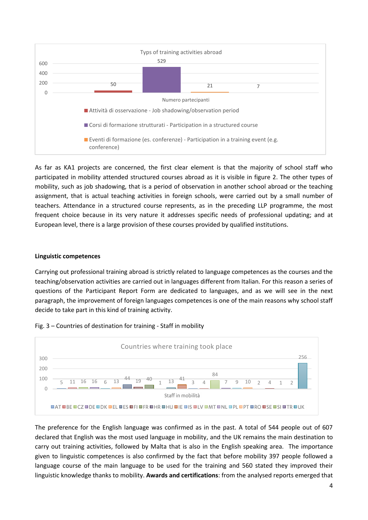

As far as KA1 projects are concerned, the first clear element is that the majority of school staff who participated in mobility attended structured courses abroad as it is visible in figure 2. The other types of mobility, such as job shadowing, that is a period of observation in another school abroad or the teaching assignment, that is actual teaching activities in foreign schools, were carried out by a small number of teachers. Attendance in a structured course represents, as in the preceding LLP programme, the most frequent choice because in its very nature it addresses specific needs of professional updating; and at European level, there is a large provision of these courses provided by qualified institutions.

### **Linguistic competences**

Carrying out professional training abroad is strictly related to language competences as the courses and the teaching/observation activities are carried out in languages different from Italian. For this reason a series of questions of the Participant Report Form are dedicated to languages, and as we will see in the next paragraph, the improvement of foreign languages competences is one of the main reasons why school staff decide to take part in this kind of training activity.



### Fig. 3 – Countries of destination for training - Staff in mobility

The preference for the English language was confirmed as in the past. A total of 544 people out of 607 declared that English was the most used language in mobility, and the UK remains the main destination to carry out training activities, followed by Malta that is also in the English speaking area. The importance given to linguistic competences is also confirmed by the fact that before mobility 397 people followed a language course of the main language to be used for the training and 560 stated they improved their linguistic knowledge thanks to mobility. **Awards and certifications**: from the analysed reports emerged that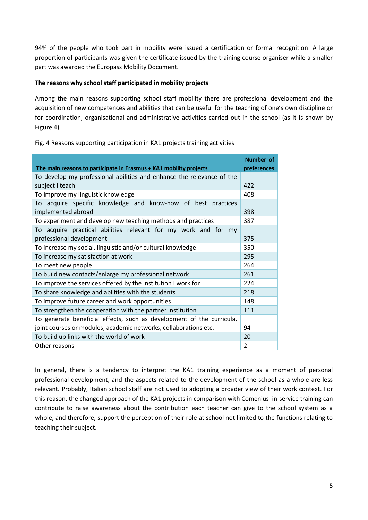94% of the people who took part in mobility were issued a certification or formal recognition. A large proportion of participants was given the certificate issued by the training course organiser while a smaller part was awarded the Europass Mobility Document.

# **The reasons why school staff participated in mobility projects**

Among the main reasons supporting school staff mobility there are professional development and the acquisition of new competences and abilities that can be useful for the teaching of one's own discipline or for coordination, organisational and administrative activities carried out in the school (as it is shown by Figure 4).

|                                                                       | Number of      |  |
|-----------------------------------------------------------------------|----------------|--|
| The main reasons to participate in Erasmus + KA1 mobility projects    | preferences    |  |
| To develop my professional abilities and enhance the relevance of the |                |  |
| subject I teach                                                       | 422            |  |
| To Improve my linguistic knowledge                                    | 408            |  |
| acquire specific knowledge and know-how of best practices<br>To       |                |  |
| implemented abroad                                                    | 398            |  |
| To experiment and develop new teaching methods and practices          | 387            |  |
| To acquire practical abilities relevant for my work and for my        |                |  |
| professional development                                              | 375            |  |
| To increase my social, linguistic and/or cultural knowledge           | 350            |  |
| To increase my satisfaction at work                                   | 295            |  |
| To meet new people                                                    | 264            |  |
| To build new contacts/enlarge my professional network                 | 261            |  |
| To improve the services offered by the institution I work for         | 224            |  |
| To share knowledge and abilities with the students                    | 218            |  |
| To improve future career and work opportunities                       | 148            |  |
| To strengthen the cooperation with the partner institution            | 111            |  |
| To generate beneficial effects, such as development of the curricula, |                |  |
| joint courses or modules, academic networks, collaborations etc.      | 94             |  |
| To build up links with the world of work                              | 20             |  |
| Other reasons                                                         | $\overline{2}$ |  |

Fig. 4 Reasons supporting participation in KA1 projects training activities

In general, there is a tendency to interpret the KA1 training experience as a moment of personal professional development, and the aspects related to the development of the school as a whole are less relevant. Probably, Italian school staff are not used to adopting a broader view of their work context. For this reason, the changed approach of the KA1 projects in comparison with Comenius in-service training can contribute to raise awareness about the contribution each teacher can give to the school system as a whole, and therefore, support the perception of their role at school not limited to the functions relating to teaching their subject.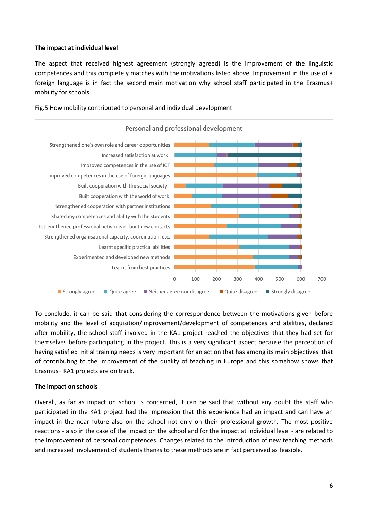# **The impact at individual level**

The aspect that received highest agreement (strongly agreed) is the improvement of the linguistic competences and this completely matches with the motivations listed above. Improvement in the use of a foreign language is in fact the second main motivation why school staff participated in the Erasmus+ mobility for schools.



Fig.5 How mobility contributed to personal and individual development

To conclude, it can be said that considering the correspondence between the motivations given before mobility and the level of acquisition/improvement/development of competences and abilities, declared after mobility, the school staff involved in the KA1 project reached the objectives that they had set for themselves before participating in the project. This is a very significant aspect because the perception of having satisfied initial training needs is very important for an action that has among its main objectives that of contributing to the improvement of the quality of teaching in Europe and this somehow shows that Erasmus+ KA1 projects are on track.

### **The impact on schools**

Overall, as far as impact on school is concerned, it can be said that without any doubt the staff who participated in the KA1 project had the impression that this experience had an impact and can have an impact in the near future also on the school not only on their professional growth. The most positive reactions - also in the case of the impact on the school and for the impact at individual level - are related to the improvement of personal competences. Changes related to the introduction of new teaching methods and increased involvement of students thanks to these methods are in fact perceived as feasible.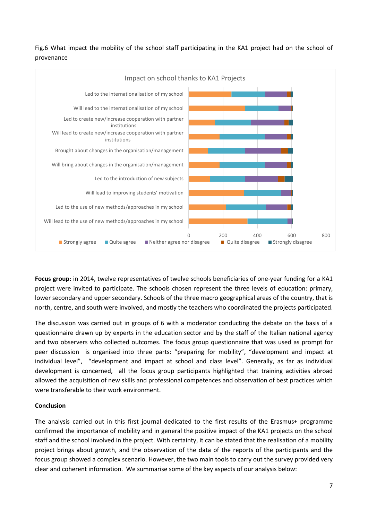Fig.6 What impact the mobility of the school staff participating in the KA1 project had on the school of provenance



**Focus group:** in 2014, twelve representatives of twelve schools beneficiaries of one-year funding for a KA1 project were invited to participate. The schools chosen represent the three levels of education: primary, lower secondary and upper secondary. Schools of the three macro geographical areas of the country, that is north, centre, and south were involved, and mostly the teachers who coordinated the projects participated.

The discussion was carried out in groups of 6 with a moderator conducting the debate on the basis of a questionnaire drawn up by experts in the education sector and by the staff of the Italian national agency and two observers who collected outcomes. The focus group questionnaire that was used as prompt for peer discussion is organised into three parts: "preparing for mobility", "development and impact at individual level", "development and impact at school and class level". Generally, as far as individual development is concerned, all the focus group participants highlighted that training activities abroad allowed the acquisition of new skills and professional competences and observation of best practices which were transferable to their work environment.

# **Conclusion**

The analysis carried out in this first journal dedicated to the first results of the Erasmus+ programme confirmed the importance of mobility and in general the positive impact of the KA1 projects on the school staff and the school involved in the project. With certainty, it can be stated that the realisation of a mobility project brings about growth, and the observation of the data of the reports of the participants and the focus group showed a complex scenario. However, the two main tools to carry out the survey provided very clear and coherent information. We summarise some of the key aspects of our analysis below: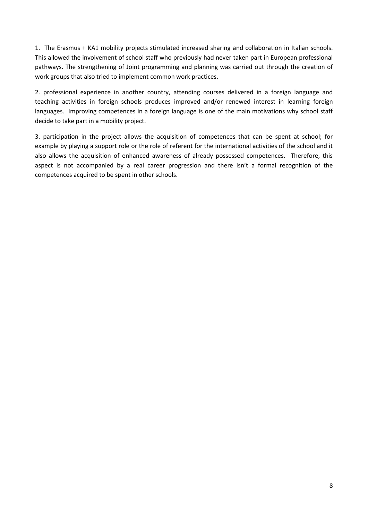1. The Erasmus + KA1 mobility projects stimulated increased sharing and collaboration in Italian schools. This allowed the involvement of school staff who previously had never taken part in European professional pathways. The strengthening of Joint programming and planning was carried out through the creation of work groups that also tried to implement common work practices.

2. professional experience in another country, attending courses delivered in a foreign language and teaching activities in foreign schools produces improved and/or renewed interest in learning foreign languages. Improving competences in a foreign language is one of the main motivations why school staff decide to take part in a mobility project.

3. participation in the project allows the acquisition of competences that can be spent at school; for example by playing a support role or the role of referent for the international activities of the school and it also allows the acquisition of enhanced awareness of already possessed competences. Therefore, this aspect is not accompanied by a real career progression and there isn't a formal recognition of the competences acquired to be spent in other schools.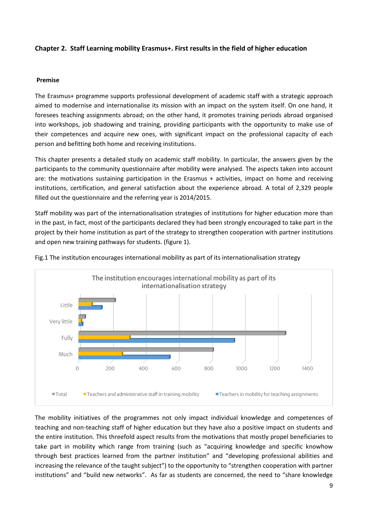# **Chapter 2. Staff Learning mobility Erasmus+. First results in the field of higher education**

### **Premise**

The Erasmus+ programme supports professional development of academic staff with a strategic approach aimed to modernise and internationalise its mission with an impact on the system itself. On one hand, it foresees teaching assignments abroad; on the other hand, it promotes training periods abroad organised into workshops, job shadowing and training, providing participants with the opportunity to make use of their competences and acquire new ones, with significant impact on the professional capacity of each person and befitting both home and receiving institutions.

This chapter presents a detailed study on academic staff mobility. In particular, the answers given by the participants to the community questionnaire after mobility were analysed. The aspects taken into account are: the motivations sustaining participation in the Erasmus + activities, impact on home and receiving institutions, certification, and general satisfaction about the experience abroad. A total of 2,329 people filled out the questionnaire and the referring year is 2014/2015.

Staff mobility was part of the internationalisation strategies of institutions for higher education more than in the past, in fact, most of the participants declared they had been strongly encouraged to take part in the project by their home institution as part of the strategy to strengthen cooperation with partner institutions and open new training pathways for students. (figure 1).



Fig.1 The institution encourages international mobility as part of its internationalisation strategy

The mobility initiatives of the programmes not only impact individual knowledge and competences of teaching and non-teaching staff of higher education but they have also a positive impact on students and the entire institution. This threefold aspect results from the motivations that mostly propel beneficiaries to take part in mobility which range from training (such as "acquiring knowledge and specific knowhow through best practices learned from the partner institution" and "developing professional abilities and increasing the relevance of the taught subject") to the opportunity to "strengthen cooperation with partner institutions" and "build new networks". As far as students are concerned, the need to "share knowledge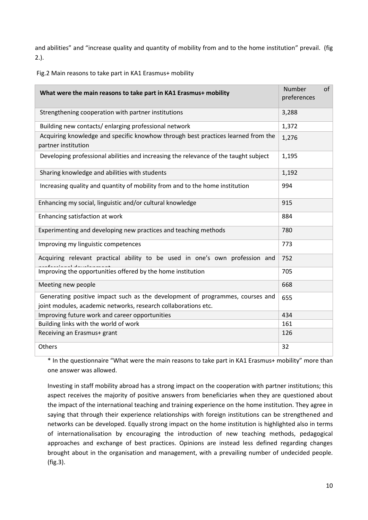and abilities" and "increase quality and quantity of mobility from and to the home institution" prevail. (fig 2.).

Fig.2 Main reasons to take part in KA1 Erasmus+ mobility

| What were the main reasons to take part in KA1 Erasmus+ mobility                                                                                |       | of |
|-------------------------------------------------------------------------------------------------------------------------------------------------|-------|----|
| Strengthening cooperation with partner institutions                                                                                             |       |    |
| Building new contacts/enlarging professional network                                                                                            | 1,372 |    |
| Acquiring knowledge and specific knowhow through best practices learned from the<br>partner institution                                         | 1,276 |    |
| Developing professional abilities and increasing the relevance of the taught subject                                                            | 1,195 |    |
| Sharing knowledge and abilities with students                                                                                                   | 1,192 |    |
| Increasing quality and quantity of mobility from and to the home institution                                                                    | 994   |    |
| Enhancing my social, linguistic and/or cultural knowledge                                                                                       | 915   |    |
| Enhancing satisfaction at work                                                                                                                  |       |    |
| Experimenting and developing new practices and teaching methods                                                                                 |       |    |
| Improving my linguistic competences                                                                                                             |       |    |
| Acquiring relevant practical ability to be used in one's own profession and                                                                     | 752   |    |
| Improving the opportunities offered by the home institution                                                                                     |       |    |
| Meeting new people                                                                                                                              |       |    |
| Generating positive impact such as the development of programmes, courses and<br>joint modules, academic networks, research collaborations etc. |       |    |
| Improving future work and career opportunities                                                                                                  |       |    |
| Building links with the world of work                                                                                                           |       |    |
| Receiving an Erasmus+ grant                                                                                                                     |       |    |
| Others                                                                                                                                          | 32    |    |

\* In the questionnaire "What were the main reasons to take part in KA1 Erasmus+ mobility" more than one answer was allowed.

Investing in staff mobility abroad has a strong impact on the cooperation with partner institutions; this aspect receives the majority of positive answers from beneficiaries when they are questioned about the impact of the international teaching and training experience on the home institution. They agree in saying that through their experience relationships with foreign institutions can be strengthened and networks can be developed. Equally strong impact on the home institution is highlighted also in terms of internationalisation by encouraging the introduction of new teaching methods, pedagogical approaches and exchange of best practices. Opinions are instead less defined regarding changes brought about in the organisation and management, with a prevailing number of undecided people. (fig.3).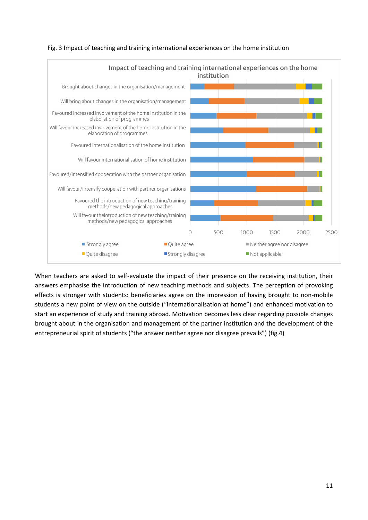



When teachers are asked to self-evaluate the impact of their presence on the receiving institution, their answers emphasise the introduction of new teaching methods and subjects. The perception of provoking effects is stronger with students: beneficiaries agree on the impression of having brought to non-mobile students a new point of view on the outside ("internationalisation at home") and enhanced motivation to start an experience of study and training abroad. Motivation becomes less clear regarding possible changes brought about in the organisation and management of the partner institution and the development of the entrepreneurial spirit of students ("the answer neither agree nor disagree prevails") (fig.4)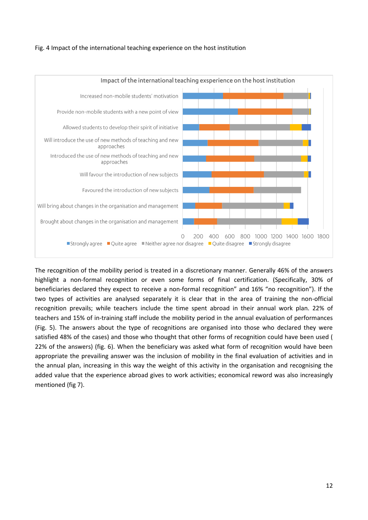### Fig. 4 Impact of the international teaching experience on the host institution



The recognition of the mobility period is treated in a discretionary manner. Generally 46% of the answers highlight a non-formal recognition or even some forms of final certification. (Specifically, 30% of beneficiaries declared they expect to receive a non-formal recognition" and 16% "no recognition"). If the two types of activities are analysed separately it is clear that in the area of training the non-official recognition prevails; while teachers include the time spent abroad in their annual work plan. 22% of teachers and 15% of in-training staff include the mobility period in the annual evaluation of performances (Fig. 5). The answers about the type of recognitions are organised into those who declared they were satisfied 48% of the cases) and those who thought that other forms of recognition could have been used ( 22% of the answers) (fig. 6). When the beneficiary was asked what form of recognition would have been appropriate the prevailing answer was the inclusion of mobility in the final evaluation of activities and in the annual plan, increasing in this way the weight of this activity in the organisation and recognising the added value that the experience abroad gives to work activities; economical reword was also increasingly mentioned (fig 7).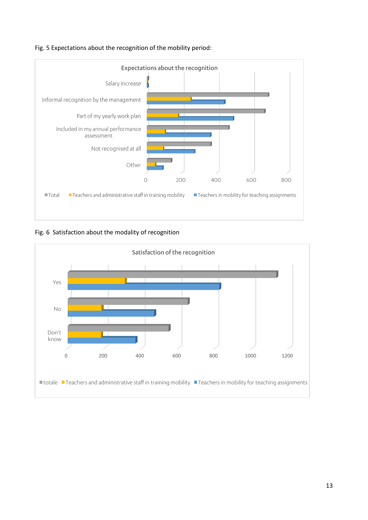



Fig. 6 Satisfaction about the modality of recognition

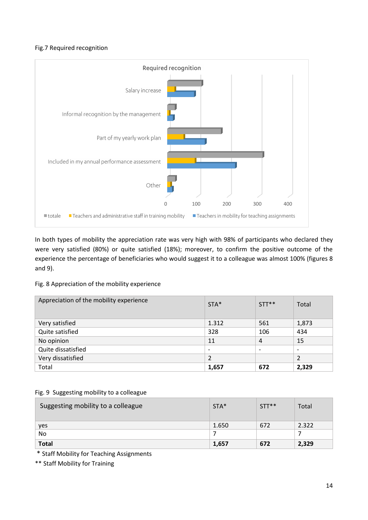# Fig.7 Required recognition



In both types of mobility the appreciation rate was very high with 98% of participants who declared they were very satisfied (80%) or quite satisfied (18%); moreover, to confirm the positive outcome of the experience the percentage of beneficiaries who would suggest it to a colleague was almost 100% (figures 8 and 9).

Fig. 8 Appreciation of the mobility experience

| Appreciation of the mobility experience | $STA*$ | $STT**$                  | Total                    |
|-----------------------------------------|--------|--------------------------|--------------------------|
| Very satisfied                          | 1.312  | 561                      | 1,873                    |
| Quite satisfied                         | 328    | 106                      | 434                      |
| No opinion                              | 11     | 4                        | 15                       |
| Quite dissatisfied                      |        | $\overline{\phantom{0}}$ | $\overline{\phantom{0}}$ |
| Very dissatisfied                       | 2      |                          | 2                        |
| Total                                   | 1,657  | 672                      | 2,329                    |

|  | Fig. 9 Suggesting mobility to a colleague |
|--|-------------------------------------------|
|  |                                           |

| Suggesting mobility to a colleague | STA*  | $STT**$ | Total |
|------------------------------------|-------|---------|-------|
| yes                                | 1.650 | 672     | 2.322 |
| No.                                |       |         |       |
| <b>Total</b>                       | 1,657 | 672     | 2,329 |

\* Staff Mobility for Teaching Assignments

\*\* Staff Mobility for Training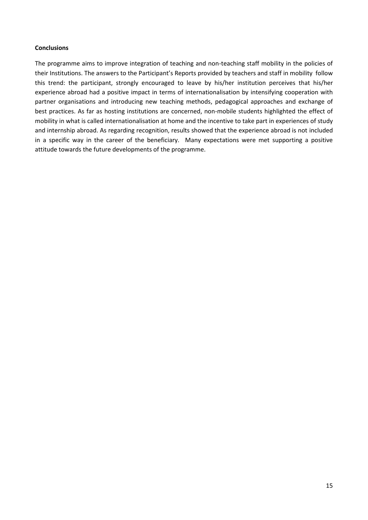### **Conclusions**

The programme aims to improve integration of teaching and non-teaching staff mobility in the policies of their Institutions. The answers to the Participant's Reports provided by teachers and staff in mobility follow this trend: the participant, strongly encouraged to leave by his/her institution perceives that his/her experience abroad had a positive impact in terms of internationalisation by intensifying cooperation with partner organisations and introducing new teaching methods, pedagogical approaches and exchange of best practices. As far as hosting institutions are concerned, non-mobile students highlighted the effect of mobility in what is called internationalisation at home and the incentive to take part in experiences of study and internship abroad. As regarding recognition, results showed that the experience abroad is not included in a specific way in the career of the beneficiary. Many expectations were met supporting a positive attitude towards the future developments of the programme.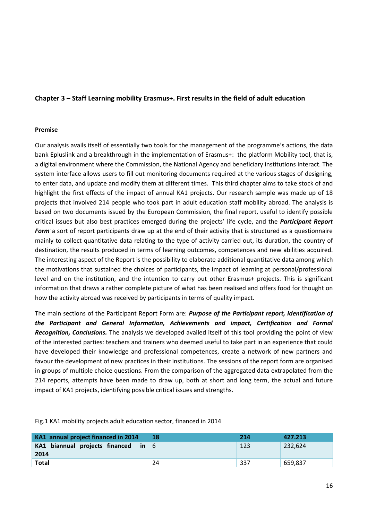# **Chapter 3 – Staff Learning mobility Erasmus+. First results in the field of adult education**

### **Premise**

Our analysis avails itself of essentially two tools for the management of the programme's actions, the data bank Epluslink and a breakthrough in the implementation of Erasmus+: the platform Mobility tool, that is, a digital environment where the Commission, the National Agency and beneficiary institutions interact. The system interface allows users to fill out monitoring documents required at the various stages of designing, to enter data, and update and modify them at different times. This third chapter aims to take stock of and highlight the first effects of the impact of annual KA1 projects. Our research sample was made up of 18 projects that involved 214 people who took part in adult education staff mobility abroad. The analysis is based on two documents issued by the European Commission, the final report, useful to identify possible critical issues but also best practices emerged during the projects' life cycle, and the *Participant Report Form* a sort of report participants draw up at the end of their activity that is structured as a questionnaire mainly to collect quantitative data relating to the type of activity carried out, its duration, the country of destination, the results produced in terms of learning outcomes, competences and new abilities acquired. The interesting aspect of the Report is the possibility to elaborate additional quantitative data among which the motivations that sustained the choices of participants, the impact of learning at personal/professional level and on the institution, and the intention to carry out other Erasmus+ projects. This is significant information that draws a rather complete picture of what has been realised and offers food for thought on how the activity abroad was received by participants in terms of quality impact.

The main sections of the Participant Report Form are: *Purpose of the Participant report, Identification of the Participant and General Information, Achievements and impact, Certification and Formal Recognition, Conclusions.* The analysis we developed availed itself of this tool providing the point of view of the interested parties: teachers and trainers who deemed useful to take part in an experience that could have developed their knowledge and professional competences, create a network of new partners and favour the development of new practices in their institutions. The sessions of the report form are organised in groups of multiple choice questions. From the comparison of the aggregated data extrapolated from the 214 reports, attempts have been made to draw up, both at short and long term, the actual and future impact of KA1 projects, identifying possible critical issues and strengths.

| KA1 annual project financed in 2014           | 18 | 214 | 427.213 |
|-----------------------------------------------|----|-----|---------|
| KA1 biannual projects financed in $6$<br>2014 |    | 123 | 232,624 |
| <b>Total</b>                                  | 24 | 337 | 659.837 |

Fig.1 KA1 mobility projects adult education sector, financed in 2014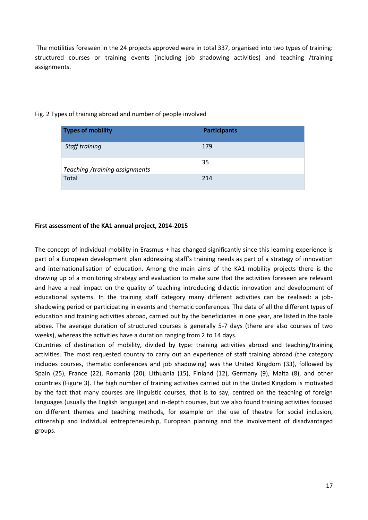The motilities foreseen in the 24 projects approved were in total 337, organised into two types of training: structured courses or training events (including job shadowing activities) and teaching /training assignments.

| <b>Types of mobility</b>       | <b>Participants</b> |
|--------------------------------|---------------------|
| Staff training                 | 179                 |
| Teaching /training assignments | 35                  |
| Total                          | 214                 |

# Fig. 2 Types of training abroad and number of people involved

# **First assessment of the KA1 annual project, 2014-2015**

The concept of individual mobility in Erasmus + has changed significantly since this learning experience is part of a European development plan addressing staff's training needs as part of a strategy of innovation and internationalisation of education. Among the main aims of the KA1 mobility projects there is the drawing up of a monitoring strategy and evaluation to make sure that the activities foreseen are relevant and have a real impact on the quality of teaching introducing didactic innovation and development of educational systems. In the training staff category many different activities can be realised: a jobshadowing period or participating in events and thematic conferences. The data of all the different types of education and training activities abroad, carried out by the beneficiaries in one year, are listed in the table above. The average duration of structured courses is generally 5-7 days (there are also courses of two weeks), whereas the activities have a duration ranging from 2 to 14 days.

Countries of destination of mobility, divided by type: training activities abroad and teaching/training activities. The most requested country to carry out an experience of staff training abroad (the category includes courses, thematic conferences and job shadowing) was the United Kingdom (33), followed by Spain (25), France (22), Romania (20), Lithuania (15), Finland (12), Germany (9), Malta (8), and other countries (Figure 3). The high number of training activities carried out in the United Kingdom is motivated by the fact that many courses are linguistic courses, that is to say, centred on the teaching of foreign languages (usually the English language) and in-depth courses, but we also found training activities focused on different themes and teaching methods, for example on the use of theatre for social inclusion, citizenship and individual entrepreneurship, European planning and the involvement of disadvantaged groups.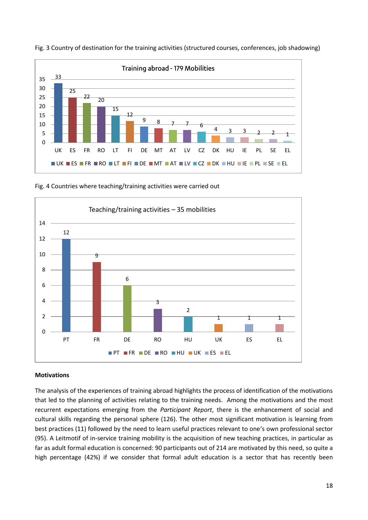

Fig. 3 Country of destination for the training activities (structured courses, conferences, job shadowing)

Fig. 4 Countries where teaching/training activities were carried out



### **Motivations**

The analysis of the experiences of training abroad highlights the process of identification of the motivations that led to the planning of activities relating to the training needs. Among the motivations and the most recurrent expectations emerging from the *Participant Report*, there is the enhancement of social and cultural skills regarding the personal sphere (126). The other most significant motivation is learning from best practices (11) followed by the need to learn useful practices relevant to one's own professional sector (95). A Leitmotif of in-service training mobility is the acquisition of new teaching practices, in particular as far as adult formal education is concerned: 90 participants out of 214 are motivated by this need, so quite a high percentage (42%) if we consider that formal adult education is a sector that has recently been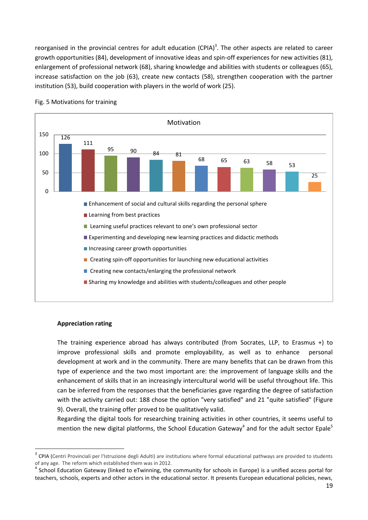reorganised in the provincial centres for adult education (CPIA)<sup>3</sup>. The other aspects are related to career growth opportunities (84), development of innovative ideas and spin-off experiences for new activities (81), enlargement of professional network (68), sharing knowledge and abilities with students or colleagues (65), increase satisfaction on the job (63), create new contacts (58), strengthen cooperation with the partner institution (53), build cooperation with players in the world of work (25).



### Fig. 5 Motivations for training

### **Appreciation rating**

1

The training experience abroad has always contributed (from Socrates, LLP, to Erasmus +) to improve professional skills and promote employability, as well as to enhance personal development at work and in the community. There are many benefits that can be drawn from this type of experience and the two most important are: the improvement of language skills and the enhancement of skills that in an increasingly intercultural world will be useful throughout life. This can be inferred from the responses that the beneficiaries gave regarding the degree of satisfaction with the activity carried out: 188 chose the option "very satisfied" and 21 "quite satisfied" (Figure 9). Overall, the training offer proved to be qualitatively valid.

Regarding the digital tools for researching training activities in other countries, it seems useful to mention the new digital platforms, the School Education Gateway<sup>4</sup> and for the adult sector Epale<sup>5</sup>

<sup>&</sup>lt;sup>3</sup> CPIA (Centri Provinciali per l'Istruzione degli Adulti) are institutions where formal educational pathways are provided to students of any age. The reform which established them was in 2012.

<sup>&</sup>lt;sup>4</sup> School Education Gateway (linked to eTwinning, the community for schools in Europe) is a unified access portal for teachers, schools, experts and other actors in the educational sector. It presents European educational policies, news,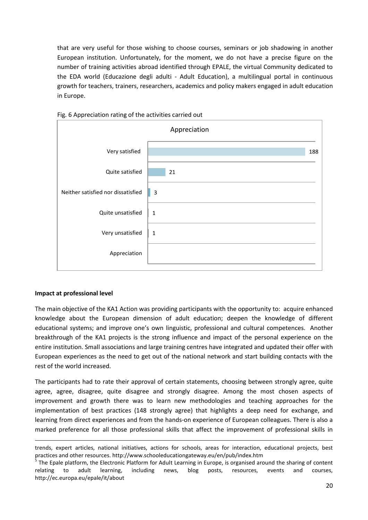that are very useful for those wishing to choose courses, seminars or job shadowing in another European institution. Unfortunately, for the moment, we do not have a precise figure on the number of training activities abroad identified through EPALE, the virtual Community dedicated to the EDA world (Educazione degli adulti - Adult Education), a multilingual portal in continuous growth for teachers, trainers, researchers, academics and policy makers engaged in adult education in Europe.





### **Impact at professional level**

**.** 

The main objective of the KA1 Action was providing participants with the opportunity to: acquire enhanced knowledge about the European dimension of adult education; deepen the knowledge of different educational systems; and improve one's own linguistic, professional and cultural competences. Another breakthrough of the KA1 projects is the strong influence and impact of the personal experience on the entire institution. Small associations and large training centres have integrated and updated their offer with European experiences as the need to get out of the national network and start building contacts with the rest of the world increased.

The participants had to rate their approval of certain statements, choosing between strongly agree, quite agree, agree, disagree, quite disagree and strongly disagree. Among the most chosen aspects of improvement and growth there was to learn new methodologies and teaching approaches for the implementation of best practices (148 strongly agree) that highlights a deep need for exchange, and learning from direct experiences and from the hands-on experience of European colleagues. There is also a marked preference for all those professional skills that affect the improvement of professional skills in

trends, expert articles, national initiatives, actions for schools, areas for interaction, educational projects, best practices and other resources. http://www.schooleducationgateway.eu/en/pub/index.htm

<sup>5</sup> The Epale platform, the Electronic Platform for Adult Learning in Europe, is organised around the sharing of content relating to adult learning, including news, blog posts, resources, events and courses, http://ec.europa.eu/epale/it/about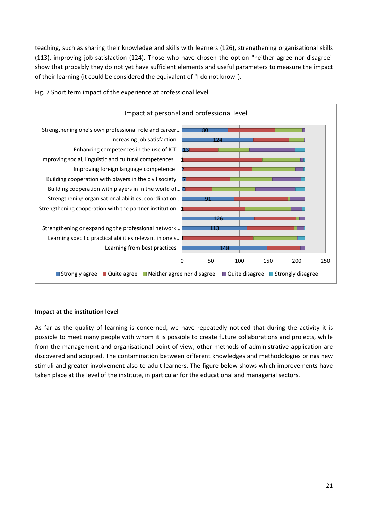teaching, such as sharing their knowledge and skills with learners (126), strengthening organisational skills (113), improving job satisfaction (124). Those who have chosen the option "neither agree nor disagree" show that probably they do not yet have sufficient elements and useful parameters to measure the impact of their learning (it could be considered the equivalent of "I do not know").



Fig. 7 Short term impact of the experience at professional level

# **Impact at the institution level**

As far as the quality of learning is concerned, we have repeatedly noticed that during the activity it is possible to meet many people with whom it is possible to create future collaborations and projects, while from the management and organisational point of view, other methods of administrative application are discovered and adopted. The contamination between different knowledges and methodologies brings new stimuli and greater involvement also to adult learners. The figure below shows which improvements have taken place at the level of the institute, in particular for the educational and managerial sectors.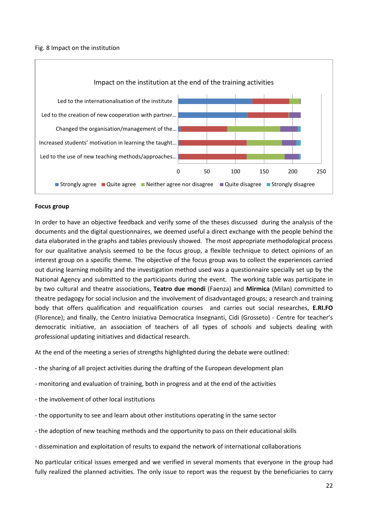### Fig. 8 Impact on the institution



### **Focus group**

In order to have an objective feedback and verify some of the theses discussed during the analysis of the documents and the digital questionnaires, we deemed useful a direct exchange with the people behind the data elaborated in the graphs and tables previously showed. The most appropriate methodological process for our qualitative analysis seemed to be the focus group, a flexible technique to detect opinions of an interest group on a specific theme. The objective of the focus group was to collect the experiences carried out during learning mobility and the investigation method used was a questionnaire specially set up by the National Agency and submitted to the participants during the event. The working table was participate in by two cultural and theatre associations, **Teatro due mondi** (Faenza) and **Mirmica** (Milan) committed to theatre pedagogy for social inclusion and the involvement of disadvantaged groups; a research and training body that offers qualification and requalification courses and carries out social researches, **E.RI.FO** (Florence); and finally, the Centro Iniziativa Democratica Insegnanti, Cidi (Grosseto) - Centre for teacher's democratic initiative, an association of teachers of all types of schools and subjects dealing with professional updating initiatives and didactical research.

At the end of the meeting a series of strengths highlighted during the debate were outlined:

- the sharing of all project activities during the drafting of the European development plan

- monitoring and evaluation of training, both in progress and at the end of the activities
- the involvement of other local institutions
- the opportunity to see and learn about other institutions operating in the same sector
- the adoption of new teaching methods and the opportunity to pass on their educational skills

- dissemination and exploitation of results to expand the network of international collaborations

No particular critical issues emerged and we verified in several moments that everyone in the group had fully realized the planned activities. The only issue to report was the request by the beneficiaries to carry